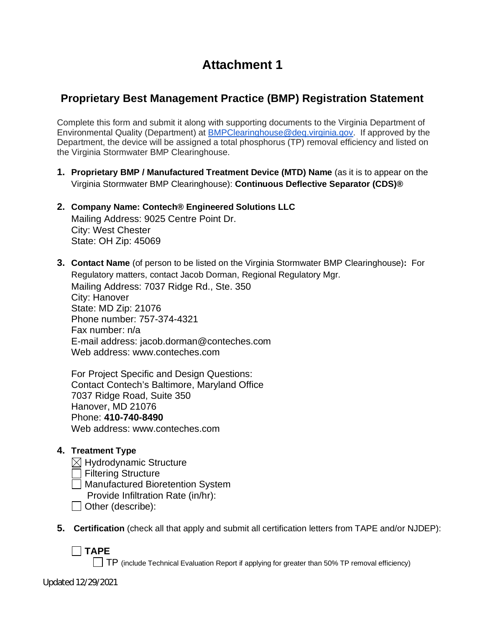# **Attachment 1**

# **Proprietary Best Management Practice (BMP) Registration Statement**

Complete this form and submit it along with supporting documents to the Virginia Department of Environmental Quality (Department) at BMPClearinghouse@deq.virginia.gov. If approved by the Department, the device will be assigned a total phosphorus (TP) removal efficiency and listed on the Virginia Stormwater BMP Clearinghouse.

- **1. Proprietary BMP / Manufactured Treatment Device (MTD) Name** (as it is to appear on the Virginia Stormwater BMP Clearinghouse): **Continuous Deflective Separator (CDS)®**
- **2. Company Name: Contech® Engineered Solutions LLC** Mailing Address: 9025 Centre Point Dr. City: West Chester State: OH Zip: 45069
- **3. Contact Name** (of person to be listed on the Virginia Stormwater BMP Clearinghouse)**:** For Regulatory matters, contact Jacob Dorman, Regional Regulatory Mgr. Mailing Address: 7037 Ridge Rd., Ste. 350 City: Hanover State: MD Zip: 21076 Phone number: 757-374-4321 Fax number: n/a E-mail address: jacob.dorman@conteches.com

Web address: www.conteches.com

For Project Specific and Design Questions: Contact Contech's Baltimore, Maryland Office 7037 Ridge Road, Suite 350 Hanover, MD 21076 Phone: **410-740-8490** Web address: www.conteches.com

#### **4. Treatment Type**

- $\boxtimes$  Hydrodynamic Structure
- **Filtering Structure**
- Manufactured Bioretention System
	- Provide Infiltration Rate (in/hr):
- $\Box$  Other (describe):
- **5. Certification** (check all that apply and submit all certification letters from TAPE and/or NJDEP):

**TAPE**

 $\Box$  TP (include Technical Evaluation Report if applying for greater than 50% TP removal efficiency)